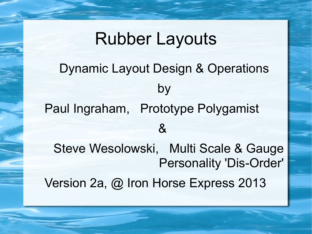# Rubber Layouts Dynamic Layout Design & Operations by Paul Ingraham, Prototype Polygamist  $\mathcal{S}_{\mathbf{X}}$ Steve Wesolowski, Multi Scale & Gauge Personality 'Dis-Order' Version 2a, @ Iron Horse Express 2013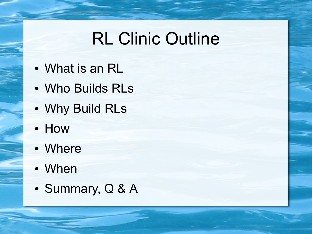## RL Clinic Outline

- What is an RL
- Who Builds RLs
- Why Build RLs
- How
- Where
- When
- Summary, Q & A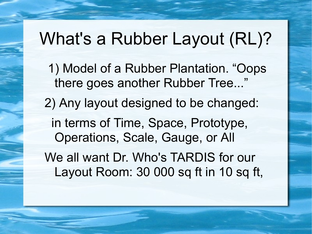#### What's a Rubber Layout (RL)?

- 1) Model of a Rubber Plantation. "Oops there goes another Rubber Tree..."
- 2) Any layout designed to be changed:

 in terms of Time, Space, Prototype, Operations, Scale, Gauge, or All

We all want Dr. Who's TARDIS for our Layout Room: 30 000 sq ft in 10 sq ft,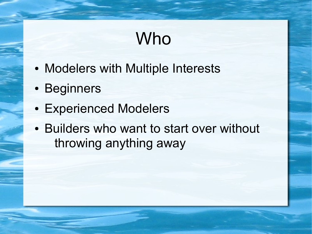## Who

- Modelers with Multiple Interests
- Beginners
- Experienced Modelers
- Builders who want to start over without throwing anything away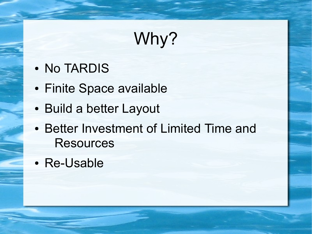# Why?

- No TARDIS
- Finite Space available
- Build a better Layout
- Better Investment of Limited Time and **Resources**
- Re-Usable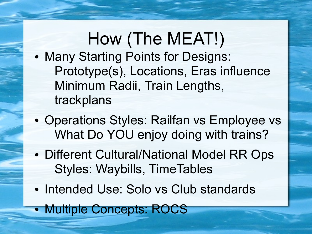# How (The MEAT!)

- Many Starting Points for Designs: Prototype(s), Locations, Eras influence Minimum Radii, Train Lengths, trackplans
- Operations Styles: Railfan vs Employee vs What Do YOU enjoy doing with trains?
- Different Cultural/National Model RR Ops Styles: Waybills, TimeTables
- Intended Use: Solo vs Club standards
- Multiple Concepts: ROCS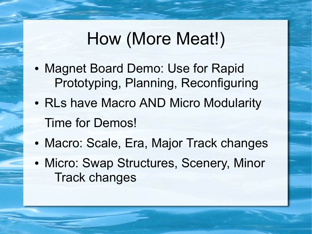#### How (More Meat!)

- Magnet Board Demo: Use for Rapid Prototyping, Planning, Reconfiguring
- RLs have Macro AND Micro Modularity Time for Demos!
- Macro: Scale, Era, Major Track changes
- Micro: Swap Structures, Scenery, Minor Track changes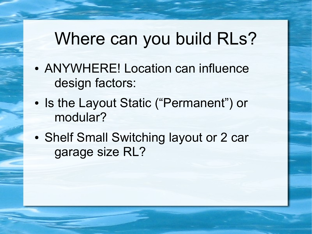#### Where can you build RLs?

- ANYWHERE! Location can influence design factors:
- Is the Layout Static ("Permanent") or modular?
- Shelf Small Switching layout or 2 car garage size RL?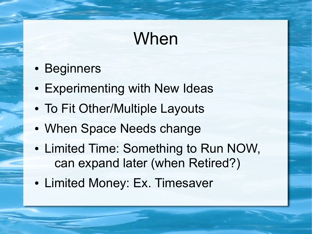## When

- Beginners
- Experimenting with New Ideas
- To Fit Other/Multiple Layouts
- When Space Needs change
- Limited Time: Something to Run NOW, can expand later (when Retired?)
- Limited Money: Ex. Timesaver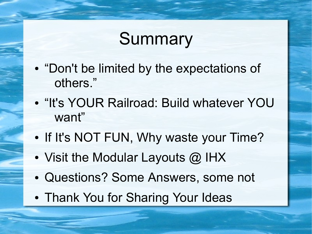## Summary

- $\bullet$ "Don't be limited by the expectations of others."
- $\bullet$ "It's YOUR Railroad: Build whatever YOU want"
- If It's NOT FUN, Why waste your Time?
- Visit the Modular Layouts  $@$  IHX
- Questions? Some Answers, some not
- Thank You for Sharing Your Ideas